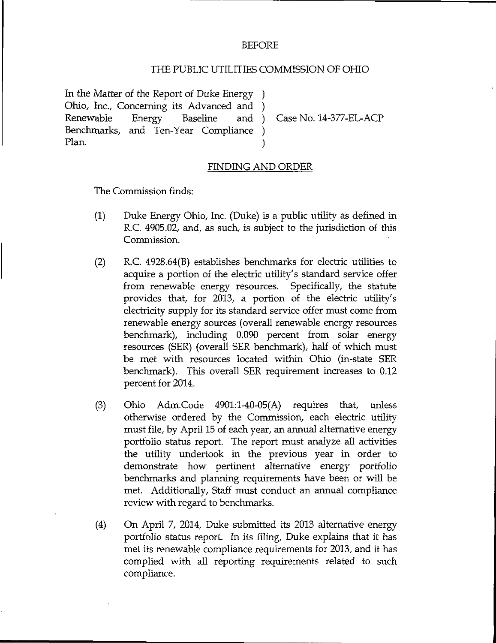## BEFORE

## THE PUBLIC UTILITIES COMMISSION OF OHIO

In the Matter of the Report of Duke Energy Ohio, Inc., Concerning its Advanced and )<br>Renewable Energy Baseline and ) Benchmarks, and Ten-Year Compliance ) Plan. (1)

Case No. 14-377-EL-ACP

## FINDING AND ORDER

The Commission finds;

- (1) Duke Energy Ohio, Inc. (Duke) is a public utility as defined in R.C. 4905.02, and, as such, is subject to the jurisdiction of this Commission.
- (2) R.C. 4928.64(B) establishes benchmarks for electric utilities to acquire a portion of the electric utility's standard service offer from renewable energy resources. Specifically, the statute provides that, for 2013, a portion of the electric utility's electricity supply for its standard service offer must come from renewable energy somrces (overall renewable energy resources benchmark), including 0.090 percent from solar energy resources (SER) (overall SER benchmark), half of which must be met with resources located within Ohio (in-state SER benchmark). This overall SER requirement increases to 0.12 percent for 2014.
- (3) Ohio Adm.Code 4901:l-40-05(A) requires that, unless otherwise ordered by the Commission, each electric utility must file, by April 15 of each year, an annual alternative energy portfolio status report. The report must analyze all activities the utility undertook in the previous year in order to demonstrate how pertinent alternative energy portfolio benchmarks and plarming requirements have been or wiU be met. Additionally, Staff must conduct an annual compliance review with regard to benchmarks.
- (4) On April 7, 2014, Duke submitted its 2013 alternative energy portfolio status report. In its filing, Duke explains that it has met its renewable compliance requirements for 2013, and it has complied with all reporting requirements related to such compliance.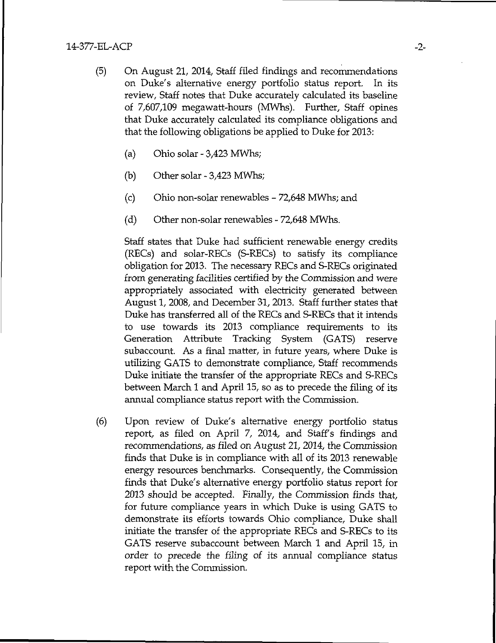- (5) On August 21, 2014, Staff filed findings and recommendations on Duke's alternative energy portfolio status report. In its review. Staff notes that Duke accurately calculated its baseline of 7,607,109 megawatt-hours (MWhs). Further, Staff opines that Duke accurately calculated its compliance obligations and that the following obligations be applied to Duke for 2013;
	- (a) Ohio solar 3,423 MWhs;
	- (b) Other solar 3,423 MWhs;
	- (c) Ohio non-solar renewables 72,648 MWhs; and
	- (d) Other non-solar renewables 72,648 MWhs.

Staff states that Duke had sufficient renewable energy credits (RECs) and solar-RECs (S-RECs) to satisfy its compliance obligation for 2013. The necessary RECs and S-RECs originated from generating facilities certified by the Commission and were appropriately associated with electricity generated between August 1, 2008, and December 31, 2013. Staff further states that Duke has transferred all of the RECs and S-RECs that it intends to use towards its 2013 compliance requirements to its Generation Attribute Tracking System (GATS) reserve subaccount. As a final matter, in future years, where Duke is utilizing GATS to demonstrate compliance. Staff recommends Duke initiate the transfer of the appropriate RECs and S-RECs between March 1 and April 15, so as to precede the filing of its annual compliance status report with the Commission.

(6) Upon review of Duke's alternative energy portfolio status report, as filed on April 7, 2014, and Staff's findings and recommendations, as filed on August 21,2014, the Commission finds that Duke is in compliance with all of its 2013 renewable energy resources benchmarks. Consequently, the Commission finds that Duke's alternative energy portfolio status report for 2013 should be accepted. Finally, the Commission finds that, for future compliance years in which Duke is using GATS to demonstrate its efforts towards Ohio compliance, Duke shall initiate the transfer of the appropriate RECs and S-RECs to its GATS reserve subaccount between March 1 and April 15, in order to precede the filing of its annual compliance status report with the Commission.